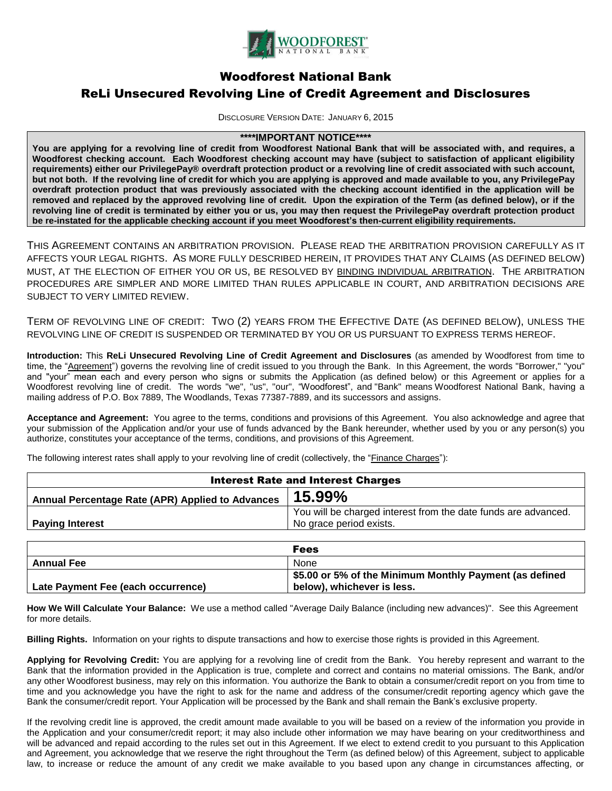

# Woodforest National Bank

# ReLi Unsecured Revolving Line of Credit Agreement and Disclosures

DISCLOSURE VERSION DATE: JANUARY 6, 2015

# **\*\*\*\*IMPORTANT NOTICE\*\*\*\***

**You are applying for a revolving line of credit from Woodforest National Bank that will be associated with, and requires, a Woodforest checking account. Each Woodforest checking account may have (subject to satisfaction of applicant eligibility requirements) either our PrivilegePay® overdraft protection product or a revolving line of credit associated with such account, but not both. If the revolving line of credit for which you are applying is approved and made available to you, any PrivilegePay overdraft protection product that was previously associated with the checking account identified in the application will be removed and replaced by the approved revolving line of credit. Upon the expiration of the Term (as defined below), or if the revolving line of credit is terminated by either you or us, you may then request the PrivilegePay overdraft protection product be re-instated for the applicable checking account if you meet Woodforest's then-current eligibility requirements.**

THIS AGREEMENT CONTAINS AN ARBITRATION PROVISION. PLEASE READ THE ARBITRATION PROVISION CAREFULLY AS IT AFFECTS YOUR LEGAL RIGHTS. AS MORE FULLY DESCRIBED HEREIN, IT PROVIDES THAT ANY CLAIMS (AS DEFINED BELOW) MUST, AT THE ELECTION OF EITHER YOU OR US, BE RESOLVED BY BINDING INDIVIDUAL ARBITRATION. THE ARBITRATION PROCEDURES ARE SIMPLER AND MORE LIMITED THAN RULES APPLICABLE IN COURT, AND ARBITRATION DECISIONS ARE SUBJECT TO VERY LIMITED REVIEW.

TERM OF REVOLVING LINE OF CREDIT: TWO (2) YEARS FROM THE EFFECTIVE DATE (AS DEFINED BELOW), UNLESS THE REVOLVING LINE OF CREDIT IS SUSPENDED OR TERMINATED BY YOU OR US PURSUANT TO EXPRESS TERMS HEREOF.

**Introduction:** This **ReLi Unsecured Revolving Line of Credit Agreement and Disclosures** (as amended by Woodforest from time to time, the "Agreement") governs the revolving line of credit issued to you through the Bank. In this Agreement, the words "Borrower," "you" and "your" mean each and every person who signs or submits the Application (as defined below) or this Agreement or applies for a Woodforest revolving line of credit. The words "we", "us", "our", "Woodforest", and "Bank" means Woodforest National Bank, having a mailing address of P.O. Box 7889, The Woodlands, Texas 77387-7889, and its successors and assigns.

**Acceptance and Agreement:** You agree to the terms, conditions and provisions of this Agreement. You also acknowledge and agree that your submission of the Application and/or your use of funds advanced by the Bank hereunder, whether used by you or any person(s) you authorize, constitutes your acceptance of the terms, conditions, and provisions of this Agreement.

The following interest rates shall apply to your revolving line of credit (collectively, the "Finance Charges"):

| <b>Interest Rate and Interest Charges</b>        |                                                                                           |
|--------------------------------------------------|-------------------------------------------------------------------------------------------|
| Annual Percentage Rate (APR) Applied to Advances | 15.99%                                                                                    |
| <b>Paying Interest</b>                           | You will be charged interest from the date funds are advanced.<br>No grace period exists. |
|                                                  |                                                                                           |

|                                    | <b>Fees</b>                                             |
|------------------------------------|---------------------------------------------------------|
| <b>Annual Fee</b>                  | None                                                    |
|                                    | \$5.00 or 5% of the Minimum Monthly Payment (as defined |
| Late Payment Fee (each occurrence) | below), whichever is less.                              |

**How We Will Calculate Your Balance:** We use a method called "Average Daily Balance (including new advances)". See this Agreement for more details.

**Billing Rights.** Information on your rights to dispute transactions and how to exercise those rights is provided in this Agreement.

**Applying for Revolving Credit:** You are applying for a revolving line of credit from the Bank. You hereby represent and warrant to the Bank that the information provided in the Application is true, complete and correct and contains no material omissions. The Bank, and/or any other Woodforest business, may rely on this information. You authorize the Bank to obtain a consumer/credit report on you from time to time and you acknowledge you have the right to ask for the name and address of the consumer/credit reporting agency which gave the Bank the consumer/credit report. Your Application will be processed by the Bank and shall remain the Bank's exclusive property.

If the revolving credit line is approved, the credit amount made available to you will be based on a review of the information you provide in the Application and your consumer/credit report; it may also include other information we may have bearing on your creditworthiness and will be advanced and repaid according to the rules set out in this Agreement. If we elect to extend credit to you pursuant to this Application and Agreement, you acknowledge that we reserve the right throughout the Term (as defined below) of this Agreement, subject to applicable law, to increase or reduce the amount of any credit we make available to you based upon any change in circumstances affecting, or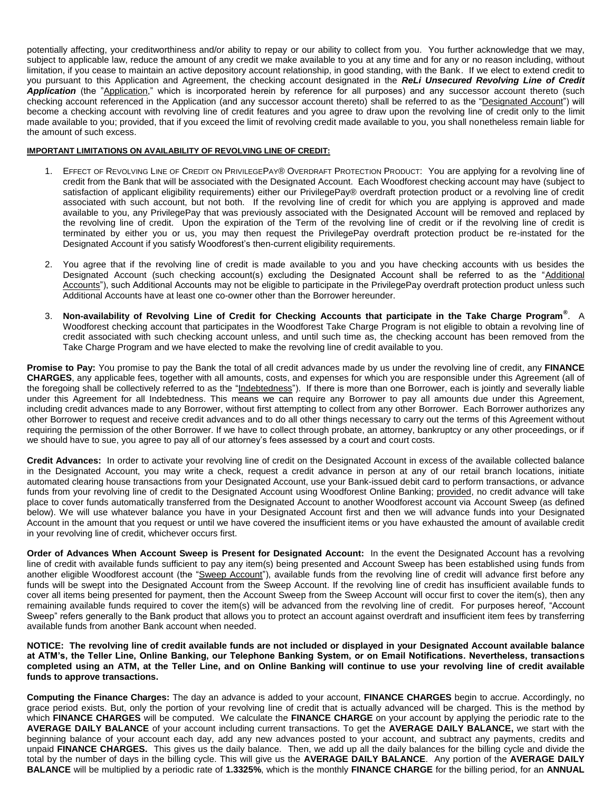potentially affecting, your creditworthiness and/or ability to repay or our ability to collect from you. You further acknowledge that we may, subject to applicable law, reduce the amount of any credit we make available to you at any time and for any or no reason including, without limitation, if you cease to maintain an active depository account relationship, in good standing, with the Bank. If we elect to extend credit to you pursuant to this Application and Agreement, the checking account designated in the *ReLi Unsecured Revolving Line of Credit*  Application (the "Application," which is incorporated herein by reference for all purposes) and any successor account thereto (such checking account referenced in the Application (and any successor account thereto) shall be referred to as the "Designated Account") will become a checking account with revolving line of credit features and you agree to draw upon the revolving line of credit only to the limit made available to you; provided, that if you exceed the limit of revolving credit made available to you, you shall nonetheless remain liable for the amount of such excess.

#### **IMPORTANT LIMITATIONS ON AVAILABILITY OF REVOLVING LINE OF CREDIT:**

- 1. EFFECT OF REVOLVING LINE OF CREDIT ON PRIVILEGEPAY® OVERDRAFT PROTECTION PRODUCT: You are applying for a revolving line of credit from the Bank that will be associated with the Designated Account. Each Woodforest checking account may have (subject to satisfaction of applicant eligibility requirements) either our PrivilegePay® overdraft protection product or a revolving line of credit associated with such account, but not both. If the revolving line of credit for which you are applying is approved and made available to you, any PrivilegePay that was previously associated with the Designated Account will be removed and replaced by the revolving line of credit. Upon the expiration of the Term of the revolving line of credit or if the revolving line of credit is terminated by either you or us, you may then request the PrivilegePay overdraft protection product be re-instated for the Designated Account if you satisfy Woodforest's then-current eligibility requirements.
- 2. You agree that if the revolving line of credit is made available to you and you have checking accounts with us besides the Designated Account (such checking account(s) excluding the Designated Account shall be referred to as the "Additional Accounts"), such Additional Accounts may not be eligible to participate in the PrivilegePay overdraft protection product unless such Additional Accounts have at least one co-owner other than the Borrower hereunder.
- 3. **Non-availability of Revolving Line of Credit for Checking Accounts that participate in the Take Charge Program®** . A Woodforest checking account that participates in the Woodforest Take Charge Program is not eligible to obtain a revolving line of credit associated with such checking account unless, and until such time as, the checking account has been removed from the Take Charge Program and we have elected to make the revolving line of credit available to you.

**Promise to Pay:** You promise to pay the Bank the total of all credit advances made by us under the revolving line of credit, any **FINANCE CHARGES**, any applicable fees, together with all amounts, costs, and expenses for which you are responsible under this Agreement (all of the foregoing shall be collectively referred to as the "Indebtedness"). If there is more than one Borrower, each is jointly and severally liable under this Agreement for all Indebtedness. This means we can require any Borrower to pay all amounts due under this Agreement, including credit advances made to any Borrower, without first attempting to collect from any other Borrower. Each Borrower authorizes any other Borrower to request and receive credit advances and to do all other things necessary to carry out the terms of this Agreement without requiring the permission of the other Borrower. If we have to collect through probate, an attorney, bankruptcy or any other proceedings, or if we should have to sue, you agree to pay all of our attorney's fees assessed by a court and court costs.

**Credit Advances:** In order to activate your revolving line of credit on the Designated Account in excess of the available collected balance in the Designated Account, you may write a check, request a credit advance in person at any of our retail branch locations, initiate automated clearing house transactions from your Designated Account, use your Bank-issued debit card to perform transactions, or advance funds from your revolving line of credit to the Designated Account using Woodforest Online Banking; provided, no credit advance will take place to cover funds automatically transferred from the Designated Account to another Woodforest account via Account Sweep (as defined below). We will use whatever balance you have in your Designated Account first and then we will advance funds into your Designated Account in the amount that you request or until we have covered the insufficient items or you have exhausted the amount of available credit in your revolving line of credit, whichever occurs first.

**Order of Advances When Account Sweep is Present for Designated Account:** In the event the Designated Account has a revolving line of credit with available funds sufficient to pay any item(s) being presented and Account Sweep has been established using funds from another eligible Woodforest account (the "Sweep Account"), available funds from the revolving line of credit will advance first before any funds will be swept into the Designated Account from the Sweep Account. If the revolving line of credit has insufficient available funds to cover all items being presented for payment, then the Account Sweep from the Sweep Account will occur first to cover the item(s), then any remaining available funds required to cover the item(s) will be advanced from the revolving line of credit. For purposes hereof, "Account Sweep" refers generally to the Bank product that allows you to protect an account against overdraft and insufficient item fees by transferring available funds from another Bank account when needed.

**NOTICE: The revolving line of credit available funds are not included or displayed in your Designated Account available balance at ATM's, the Teller Line, Online Banking, our Telephone Banking System, or on Email Notifications. Nevertheless, transactions completed using an ATM, at the Teller Line, and on Online Banking will continue to use your revolving line of credit available funds to approve transactions.**

**Computing the Finance Charges:** The day an advance is added to your account, **FINANCE CHARGES** begin to accrue. Accordingly, no grace period exists. But, only the portion of your revolving line of credit that is actually advanced will be charged. This is the method by which **FINANCE CHARGES** will be computed. We calculate the **FINANCE CHARGE** on your account by applying the periodic rate to the **AVERAGE DAILY BALANCE** of your account including current transactions. To get the **AVERAGE DAILY BALANCE,** we start with the beginning balance of your account each day, add any new advances posted to your account, and subtract any payments, credits and unpaid **FINANCE CHARGES.** This gives us the daily balance. Then, we add up all the daily balances for the billing cycle and divide the total by the number of days in the billing cycle. This will give us the **AVERAGE DAILY BALANCE**. Any portion of the **AVERAGE DAILY BALANCE** will be multiplied by a periodic rate of **1.3325%**, which is the monthly **FINANCE CHARGE** for the billing period, for an **ANNUAL**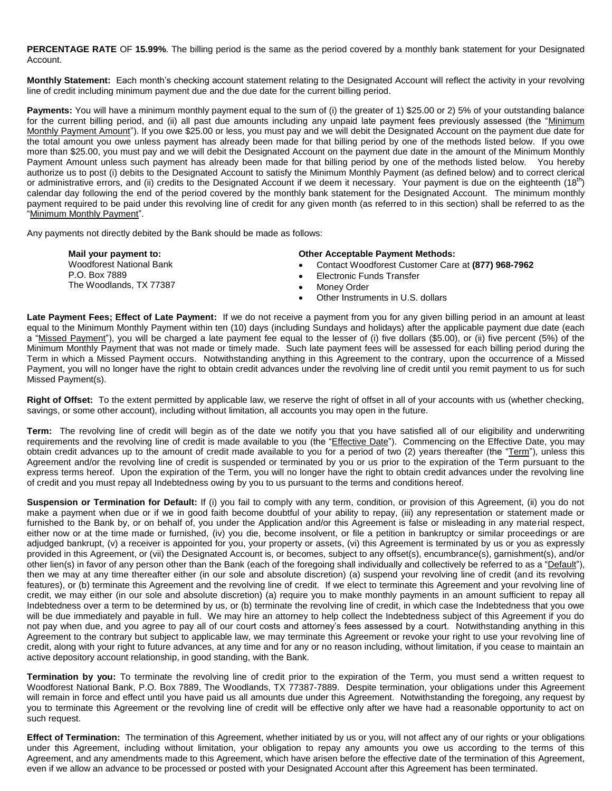**PERCENTAGE RATE** OF **15.99%**. The billing period is the same as the period covered by a monthly bank statement for your Designated Account.

**Monthly Statement:** Each month's checking account statement relating to the Designated Account will reflect the activity in your revolving line of credit including minimum payment due and the due date for the current billing period.

**Payments:** You will have a minimum monthly payment equal to the sum of (i) the greater of 1) \$25.00 or 2) 5% of your outstanding balance for the current billing period, and (ii) all past due amounts including any unpaid late payment fees previously assessed (the "Minimum Monthly Payment Amount"). If you owe \$25.00 or less, you must pay and we will debit the Designated Account on the payment due date for the total amount you owe unless payment has already been made for that billing period by one of the methods listed below. If you owe more than \$25.00, you must pay and we will debit the Designated Account on the payment due date in the amount of the Minimum Monthly Payment Amount unless such payment has already been made for that billing period by one of the methods listed below. You hereby authorize us to post (i) debits to the Designated Account to satisfy the Minimum Monthly Payment (as defined below) and to correct clerical or administrative errors, and (ii) credits to the Designated Account if we deem it necessary. Your payment is due on the eighteenth (18<sup>th</sup>) calendar day following the end of the period covered by the monthly bank statement for the Designated Account. The minimum monthly payment required to be paid under this revolving line of credit for any given month (as referred to in this section) shall be referred to as the "Minimum Monthly Payment".

Any payments not directly debited by the Bank should be made as follows:

**Mail your payment to:** Woodforest National Bank P.O. Box 7889 The Woodlands, TX 77387

#### **Other Acceptable Payment Methods:**

- Contact Woodforest Customer Care at **(877) 968-7962**
- Electronic Funds Transfer
- Money Order
- Other Instruments in U.S. dollars

**Late Payment Fees; Effect of Late Payment:** If we do not receive a payment from you for any given billing period in an amount at least equal to the Minimum Monthly Payment within ten (10) days (including Sundays and holidays) after the applicable payment due date (each a "Missed Payment"), you will be charged a late payment fee equal to the lesser of (i) five dollars (\$5.00), or (ii) five percent (5%) of the Minimum Monthly Payment that was not made or timely made. Such late payment fees will be assessed for each billing period during the Term in which a Missed Payment occurs. Notwithstanding anything in this Agreement to the contrary, upon the occurrence of a Missed Payment, you will no longer have the right to obtain credit advances under the revolving line of credit until you remit payment to us for such Missed Payment(s).

**Right of Offset:** To the extent permitted by applicable law, we reserve the right of offset in all of your accounts with us (whether checking, savings, or some other account), including without limitation, all accounts you may open in the future.

**Term:** The revolving line of credit will begin as of the date we notify you that you have satisfied all of our eligibility and underwriting requirements and the revolving line of credit is made available to you (the "Effective Date"). Commencing on the Effective Date, you may obtain credit advances up to the amount of credit made available to you for a period of two (2) years thereafter (the "Term"), unless this Agreement and/or the revolving line of credit is suspended or terminated by you or us prior to the expiration of the Term pursuant to the express terms hereof. Upon the expiration of the Term, you will no longer have the right to obtain credit advances under the revolving line of credit and you must repay all Indebtedness owing by you to us pursuant to the terms and conditions hereof.

**Suspension or Termination for Default:** If (i) you fail to comply with any term, condition, or provision of this Agreement, (ii) you do not make a payment when due or if we in good faith become doubtful of your ability to repay, (iii) any representation or statement made or furnished to the Bank by, or on behalf of, you under the Application and/or this Agreement is false or misleading in any material respect, either now or at the time made or furnished, (iv) you die, become insolvent, or file a petition in bankruptcy or similar proceedings or are adjudged bankrupt, (v) a receiver is appointed for you, your property or assets, (vi) this Agreement is terminated by us or you as expressly provided in this Agreement, or (vii) the Designated Account is, or becomes, subject to any offset(s), encumbrance(s), garnishment(s), and/or other lien(s) in favor of any person other than the Bank (each of the foregoing shall individually and collectively be referred to as a "Default"), then we may at any time thereafter either (in our sole and absolute discretion) (a) suspend your revolving line of credit (and its revolving features), or (b) terminate this Agreement and the revolving line of credit. If we elect to terminate this Agreement and your revolving line of credit, we may either (in our sole and absolute discretion) (a) require you to make monthly payments in an amount sufficient to repay all Indebtedness over a term to be determined by us, or (b) terminate the revolving line of credit, in which case the Indebtedness that you owe will be due immediately and payable in full. We may hire an attorney to help collect the Indebtedness subject of this Agreement if you do not pay when due, and you agree to pay all of our court costs and attorney's fees assessed by a court. Notwithstanding anything in this Agreement to the contrary but subject to applicable law, we may terminate this Agreement or revoke your right to use your revolving line of credit, along with your right to future advances, at any time and for any or no reason including, without limitation, if you cease to maintain an active depository account relationship, in good standing, with the Bank.

**Termination by you:** To terminate the revolving line of credit prior to the expiration of the Term, you must send a written request to Woodforest National Bank, P.O. Box 7889, The Woodlands, TX 77387-7889. Despite termination, your obligations under this Agreement will remain in force and effect until you have paid us all amounts due under this Agreement. Notwithstanding the foregoing, any request by you to terminate this Agreement or the revolving line of credit will be effective only after we have had a reasonable opportunity to act on such request.

**Effect of Termination:** The termination of this Agreement, whether initiated by us or you, will not affect any of our rights or your obligations under this Agreement, including without limitation, your obligation to repay any amounts you owe us according to the terms of this Agreement, and any amendments made to this Agreement, which have arisen before the effective date of the termination of this Agreement, even if we allow an advance to be processed or posted with your Designated Account after this Agreement has been terminated.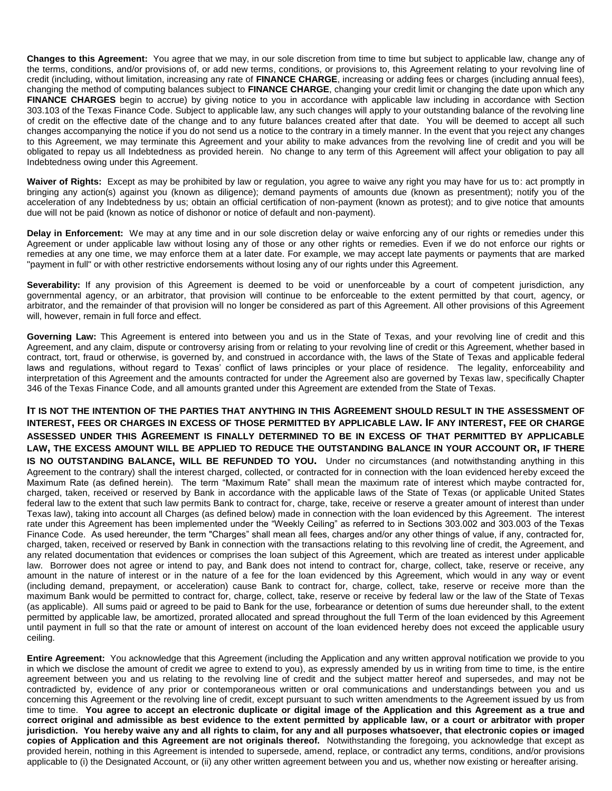**Changes to this Agreement:** You agree that we may, in our sole discretion from time to time but subject to applicable law, change any of the terms, conditions, and/or provisions of, or add new terms, conditions, or provisions to, this Agreement relating to your revolving line of credit (including, without limitation, increasing any rate of **FINANCE CHARGE**, increasing or adding fees or charges (including annual fees), changing the method of computing balances subject to **FINANCE CHARGE**, changing your credit limit or changing the date upon which any **FINANCE CHARGES** begin to accrue) by giving notice to you in accordance with applicable law including in accordance with Section 303.103 of the Texas Finance Code. Subject to applicable law, any such changes will apply to your outstanding balance of the revolving line of credit on the effective date of the change and to any future balances created after that date. You will be deemed to accept all such changes accompanying the notice if you do not send us a notice to the contrary in a timely manner. In the event that you reject any changes to this Agreement, we may terminate this Agreement and your ability to make advances from the revolving line of credit and you will be obligated to repay us all Indebtedness as provided herein. No change to any term of this Agreement will affect your obligation to pay all Indebtedness owing under this Agreement.

**Waiver of Rights:** Except as may be prohibited by law or regulation, you agree to waive any right you may have for us to: act promptly in bringing any action(s) against you (known as diligence); demand payments of amounts due (known as presentment); notify you of the acceleration of any Indebtedness by us; obtain an official certification of non-payment (known as protest); and to give notice that amounts due will not be paid (known as notice of dishonor or notice of default and non-payment).

**Delay in Enforcement:** We may at any time and in our sole discretion delay or waive enforcing any of our rights or remedies under this Agreement or under applicable law without losing any of those or any other rights or remedies. Even if we do not enforce our rights or remedies at any one time, we may enforce them at a later date. For example, we may accept late payments or payments that are marked "payment in full" or with other restrictive endorsements without losing any of our rights under this Agreement.

Severability: If any provision of this Agreement is deemed to be void or unenforceable by a court of competent jurisdiction, any governmental agency, or an arbitrator, that provision will continue to be enforceable to the extent permitted by that court, agency, or arbitrator, and the remainder of that provision will no longer be considered as part of this Agreement. All other provisions of this Agreement will, however, remain in full force and effect.

**Governing Law:** This Agreement is entered into between you and us in the State of Texas, and your revolving line of credit and this Agreement, and any claim, dispute or controversy arising from or relating to your revolving line of credit or this Agreement, whether based in contract, tort, fraud or otherwise, is governed by, and construed in accordance with, the laws of the State of Texas and applicable federal laws and regulations, without regard to Texas' conflict of laws principles or your place of residence. The legality, enforceability and interpretation of this Agreement and the amounts contracted for under the Agreement also are governed by Texas law, specifically Chapter 346 of the Texas Finance Code, and all amounts granted under this Agreement are extended from the State of Texas.

**IT IS NOT THE INTENTION OF THE PARTIES THAT ANYTHING IN THIS AGREEMENT SHOULD RESULT IN THE ASSESSMENT OF INTEREST, FEES OR CHARGES IN EXCESS OF THOSE PERMITTED BY APPLICABLE LAW. IF ANY INTEREST, FEE OR CHARGE ASSESSED UNDER THIS AGREEMENT IS FINALLY DETERMINED TO BE IN EXCESS OF THAT PERMITTED BY APPLICABLE LAW, THE EXCESS AMOUNT WILL BE APPLIED TO REDUCE THE OUTSTANDING BALANCE IN YOUR ACCOUNT OR, IF THERE IS NO OUTSTANDING BALANCE, WILL BE REFUNDED TO YOU.** Under no circumstances (and notwithstanding anything in this Agreement to the contrary) shall the interest charged, collected, or contracted for in connection with the loan evidenced hereby exceed the Maximum Rate (as defined herein). The term "Maximum Rate" shall mean the maximum rate of interest which maybe contracted for, charged, taken, received or reserved by Bank in accordance with the applicable laws of the State of Texas (or applicable United States federal law to the extent that such law permits Bank to contract for, charge, take, receive or reserve a greater amount of interest than under Texas law), taking into account all Charges (as defined below) made in connection with the loan evidenced by this Agreement. The interest rate under this Agreement has been implemented under the "Weekly Ceiling" as referred to in Sections 303.002 and 303.003 of the Texas Finance Code. As used hereunder, the term "Charges" shall mean all fees, charges and/or any other things of value, if any, contracted for, charged, taken, received or reserved by Bank in connection with the transactions relating to this revolving line of credit, the Agreement, and any related documentation that evidences or comprises the loan subject of this Agreement, which are treated as interest under applicable law. Borrower does not agree or intend to pay, and Bank does not intend to contract for, charge, collect, take, reserve or receive, any amount in the nature of interest or in the nature of a fee for the loan evidenced by this Agreement, which would in any way or event (including demand, prepayment, or acceleration) cause Bank to contract for, charge, collect, take, reserve or receive more than the maximum Bank would be permitted to contract for, charge, collect, take, reserve or receive by federal law or the law of the State of Texas (as applicable). All sums paid or agreed to be paid to Bank for the use, forbearance or detention of sums due hereunder shall, to the extent permitted by applicable law, be amortized, prorated allocated and spread throughout the full Term of the loan evidenced by this Agreement until payment in full so that the rate or amount of interest on account of the loan evidenced hereby does not exceed the applicable usury ceiling.

**Entire Agreement:** You acknowledge that this Agreement (including the Application and any written approval notification we provide to you in which we disclose the amount of credit we agree to extend to you), as expressly amended by us in writing from time to time, is the entire agreement between you and us relating to the revolving line of credit and the subject matter hereof and supersedes, and may not be contradicted by, evidence of any prior or contemporaneous written or oral communications and understandings between you and us concerning this Agreement or the revolving line of credit, except pursuant to such written amendments to the Agreement issued by us from time to time. **You agree to accept an electronic duplicate or digital image of the Application and this Agreement as a true and correct original and admissible as best evidence to the extent permitted by applicable law, or a court or arbitrator with proper jurisdiction. You hereby waive any and all rights to claim, for any and all purposes whatsoever, that electronic copies or imaged copies of Application and this Agreement are not originals thereof.** Notwithstanding the foregoing, you acknowledge that except as provided herein, nothing in this Agreement is intended to supersede, amend, replace, or contradict any terms, conditions, and/or provisions applicable to (i) the Designated Account, or (ii) any other written agreement between you and us, whether now existing or hereafter arising.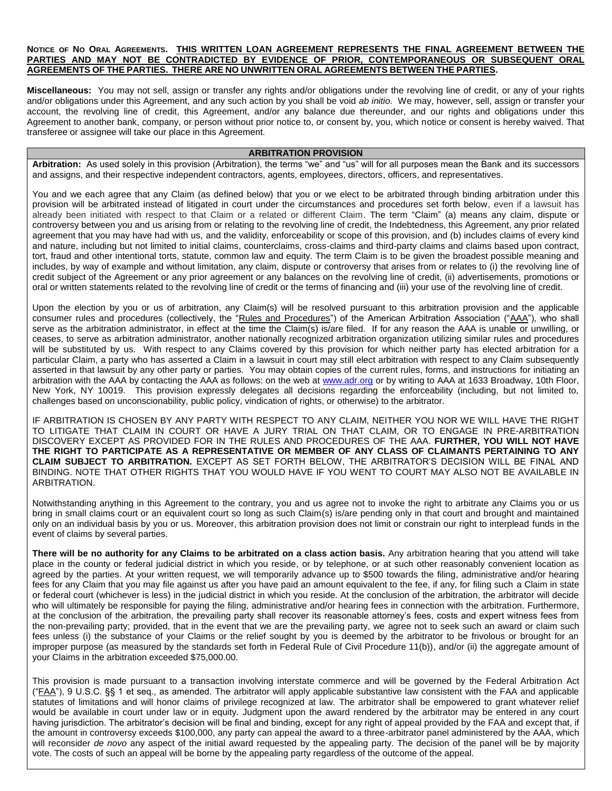### NOTICE OF NO ORAL AGREEMENTS. THIS WRITTEN LOAN AGREEMENT REPRESENTS THE FINAL AGREEMENT BETWEEN THE **PARTIES AND MAY NOT BE CONTRADICTED BY EVIDENCE OF PRIOR, CONTEMPORANEOUS OR SUBSEQUENT ORAL AGREEMENTS OF THE PARTIES. THERE ARE NO UNWRITTEN ORAL AGREEMENTS BETWEEN THE PARTIES.**

**Miscellaneous:** You may not sell, assign or transfer any rights and/or obligations under the revolving line of credit, or any of your rights and/or obligations under this Agreement, and any such action by you shall be void *ab initio*. We may, however, sell, assign or transfer your account, the revolving line of credit, this Agreement, and/or any balance due thereunder, and our rights and obligations under this Agreement to another bank, company, or person without prior notice to, or consent by, you, which notice or consent is hereby waived. That transferee or assignee will take our place in this Agreement.

## **ARBITRATION PROVISION**

**Arbitration:** As used solely in this provision (Arbitration), the terms "we" and "us" will for all purposes mean the Bank and its successors and assigns, and their respective independent contractors, agents, employees, directors, officers, and representatives.

You and we each agree that any Claim (as defined below) that you or we elect to be arbitrated through binding arbitration under this provision will be arbitrated instead of litigated in court under the circumstances and procedures set forth below, even if a lawsuit has already been initiated with respect to that Claim or a related or different Claim. The term "Claim" (a) means any claim, dispute or controversy between you and us arising from or relating to the revolving line of credit, the Indebtedness, this Agreement, any prior related agreement that you may have had with us, and the validity, enforceability or scope of this provision, and (b) includes claims of every kind and nature, including but not limited to initial claims, counterclaims, cross-claims and third-party claims and claims based upon contract, tort, fraud and other intentional torts, statute, common law and equity. The term Claim is to be given the broadest possible meaning and includes, by way of example and without limitation, any claim, dispute or controversy that arises from or relates to (i) the revolving line of credit subject of the Agreement or any prior agreement or any balances on the revolving line of credit, (ii) advertisements, promotions or oral or written statements related to the revolving line of credit or the terms of financing and (iii) your use of the revolving line of credit.

Upon the election by you or us of arbitration, any Claim(s) will be resolved pursuant to this arbitration provision and the applicable consumer rules and procedures (collectively, the "Rules and Procedures") of the American Arbitration Association ("AAA"), who shall serve as the arbitration administrator, in effect at the time the Claim(s) is/are filed. If for any reason the AAA is unable or unwilling, or ceases, to serve as arbitration administrator, another nationally recognized arbitration organization utilizing similar rules and procedures will be substituted by us. With respect to any Claims covered by this provision for which neither party has elected arbitration for a particular Claim, a party who has asserted a Claim in a lawsuit in court may still elect arbitration with respect to any Claim subsequently asserted in that lawsuit by any other party or parties. You may obtain copies of the current rules, forms, and instructions for initiating an arbitration with the AAA by contacting the AAA as follows: on the web at www.adr.org or by writing to AAA at 1633 Broadway, 10th Floor, New York, NY 10019. This provision expressly delegates all decisions regarding the enforceability (including, but not limited to, challenges based on unconscionability, public policy, vindication of rights, or otherwise) to the arbitrator.

IF ARBITRATION IS CHOSEN BY ANY PARTY WITH RESPECT TO ANY CLAIM, NEITHER YOU NOR WE WILL HAVE THE RIGHT TO LITIGATE THAT CLAIM IN COURT OR HAVE A JURY TRIAL ON THAT CLAIM, OR TO ENGAGE IN PRE-ARBITRATION DISCOVERY EXCEPT AS PROVIDED FOR IN THE RULES AND PROCEDURES OF THE AAA. **FURTHER, YOU WILL NOT HAVE THE RIGHT TO PARTICIPATE AS A REPRESENTATIVE OR MEMBER OF ANY CLASS OF CLAIMANTS PERTAINING TO ANY CLAIM SUBJECT TO ARBITRATION.** EXCEPT AS SET FORTH BELOW, THE ARBITRATOR'S DECISION WILL BE FINAL AND BINDING. NOTE THAT OTHER RIGHTS THAT YOU WOULD HAVE IF YOU WENT TO COURT MAY ALSO NOT BE AVAILABLE IN ARBITRATION.

Notwithstanding anything in this Agreement to the contrary, you and us agree not to invoke the right to arbitrate any Claims you or us bring in small claims court or an equivalent court so long as such Claim(s) is/are pending only in that court and brought and maintained only on an individual basis by you or us. Moreover, this arbitration provision does not limit or constrain our right to interplead funds in the event of claims by several parties.

There will be no authority for any Claims to be arbitrated on a class action basis. Any arbitration hearing that you attend will take place in the county or federal judicial district in which you reside, or by telephone, or at such other reasonably convenient location as agreed by the parties. At your written request, we will temporarily advance up to \$500 towards the filing, administrative and/or hearing fees for any Claim that you may file against us after you have paid an amount equivalent to the fee, if any, for filing such a Claim in state or federal court (whichever is less) in the judicial district in which you reside. At the conclusion of the arbitration, the arbitrator will decide who will ultimately be responsible for paying the filing, administrative and/or hearing fees in connection with the arbitration. Furthermore, at the conclusion of the arbitration, the prevailing party shall recover its reasonable attorney's fees, costs and expert witness fees from the non-prevailing party; provided, that in the event that we are the prevailing party, we agree not to seek such an award or claim such fees unless (i) the substance of your Claims or the relief sought by you is deemed by the arbitrator to be frivolous or brought for an improper purpose (as measured by the standards set forth in Federal Rule of Civil Procedure 11(b)), and/or (ii) the aggregate amount of your Claims in the arbitration exceeded \$75,000.00.

This provision is made pursuant to a transaction involving interstate commerce and will be governed by the Federal Arbitration Act ("FAA"), 9 U.S.C. §§ 1 et seq., as amended. The arbitrator will apply applicable substantive law consistent with the FAA and applicable statutes of limitations and will honor claims of privilege recognized at law. The arbitrator shall be empowered to grant whatever relief would be available in court under law or in equity. Judgment upon the award rendered by the arbitrator may be entered in any court having jurisdiction. The arbitrator's decision will be final and binding, except for any right of appeal provided by the FAA and except that, if the amount in controversy exceeds \$100,000, any party can appeal the award to a three-arbitrator panel administered by the AAA, which will reconsider *de novo* any aspect of the initial award requested by the appealing party. The decision of the panel will be by majority vote. The costs of such an appeal will be borne by the appealing party regardless of the outcome of the appeal.